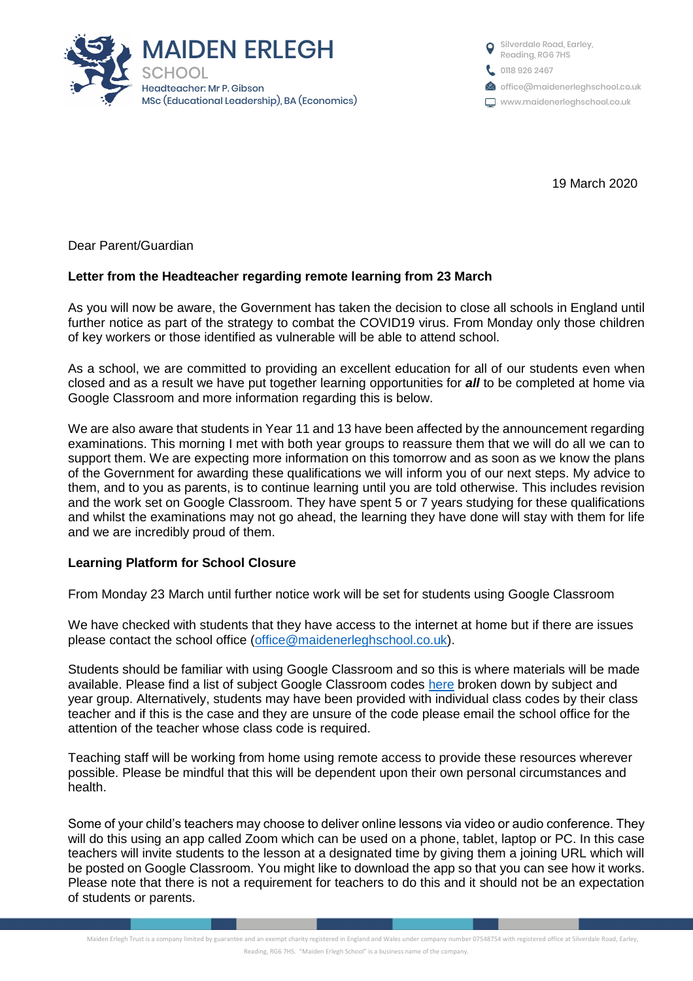

19 March 2020

Dear Parent/Guardian

## **Letter from the Headteacher regarding remote learning from 23 March**

As you will now be aware, the Government has taken the decision to close all schools in England until further notice as part of the strategy to combat the COVID19 virus. From Monday only those children of key workers or those identified as vulnerable will be able to attend school.

As a school, we are committed to providing an excellent education for all of our students even when closed and as a result we have put together learning opportunities for *all* to be completed at home via Google Classroom and more information regarding this is below.

We are also aware that students in Year 11 and 13 have been affected by the announcement regarding examinations. This morning I met with both year groups to reassure them that we will do all we can to support them. We are expecting more information on this tomorrow and as soon as we know the plans of the Government for awarding these qualifications we will inform you of our next steps. My advice to them, and to you as parents, is to continue learning until you are told otherwise. This includes revision and the work set on Google Classroom. They have spent 5 or 7 years studying for these qualifications and whilst the examinations may not go ahead, the learning they have done will stay with them for life and we are incredibly proud of them.

## **Learning Platform for School Closure**

From Monday 23 March until further notice work will be set for students using Google Classroom

We have checked with students that they have access to the internet at home but if there are issues please contact the school office [\(office@maidenerleghschool.co.uk\)](mailto:office@maidenerleghschool.co.uk).

Students should be familiar with using Google Classroom and so this is where materials will be made available. Please find a list of subject Google Classroom codes [here](http://www.maidenerleghschool.co.uk/attachments/download.asp?file=1435&type=pdf) broken down by subject and year group. Alternatively, students may have been provided with individual class codes by their class teacher and if this is the case and they are unsure of the code please email the school office for the attention of the teacher whose class code is required.

Teaching staff will be working from home using remote access to provide these resources wherever possible. Please be mindful that this will be dependent upon their own personal circumstances and health.

Some of your child's teachers may choose to deliver online lessons via video or audio conference. They will do this using an app called Zoom which can be used on a phone, tablet, laptop or PC. In this case teachers will invite students to the lesson at a designated time by giving them a joining URL which will be posted on Google Classroom. You might like to download the app so that you can see how it works. Please note that there is not a requirement for teachers to do this and it should not be an expectation of students or parents.